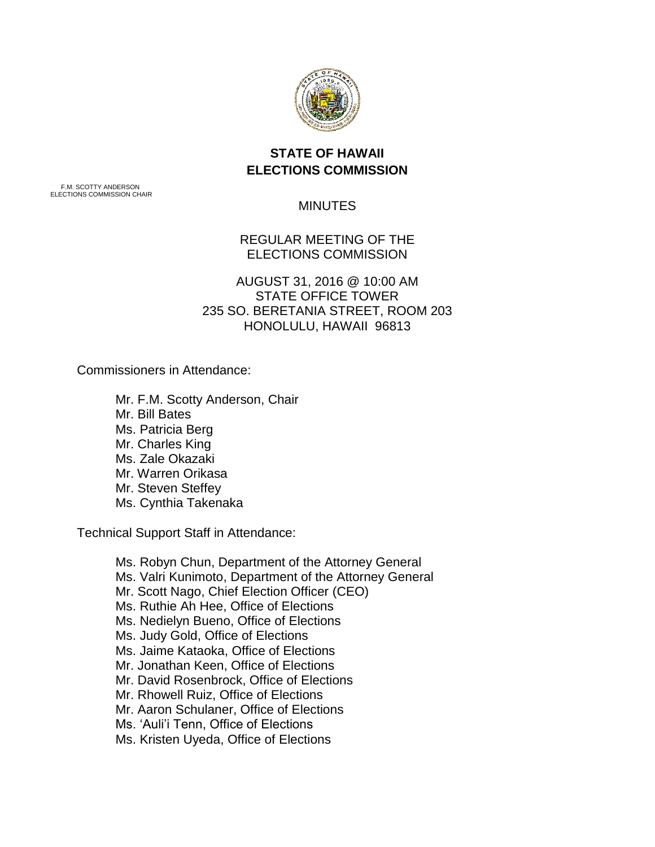

## **STATE OF HAWAII ELECTIONS COMMISSION**

F.M. SCOTTY ANDERSON ELECTIONS COMMISSION CHAIR

## MINUTES

REGULAR MEETING OF THE ELECTIONS COMMISSION

AUGUST 31, 2016 @ 10:00 AM STATE OFFICE TOWER 235 SO. BERETANIA STREET, ROOM 203 HONOLULU, HAWAII 96813

Commissioners in Attendance:

Mr. F.M. Scotty Anderson, Chair Mr. Bill Bates Ms. Patricia Berg Mr. Charles King Ms. Zale Okazaki Mr. Warren Orikasa Mr. Steven Steffey Ms. Cynthia Takenaka

Technical Support Staff in Attendance:

Ms. Robyn Chun, Department of the Attorney General Ms. Valri Kunimoto, Department of the Attorney General Mr. Scott Nago, Chief Election Officer (CEO) Ms. Ruthie Ah Hee, Office of Elections Ms. Nedielyn Bueno, Office of Elections Ms. Judy Gold, Office of Elections Ms. Jaime Kataoka, Office of Elections Mr. Jonathan Keen, Office of Elections Mr. David Rosenbrock, Office of Elections Mr. Rhowell Ruiz, Office of Elections Mr. Aaron Schulaner, Office of Elections Ms. 'Auli'i Tenn, Office of Elections Ms. Kristen Uyeda, Office of Elections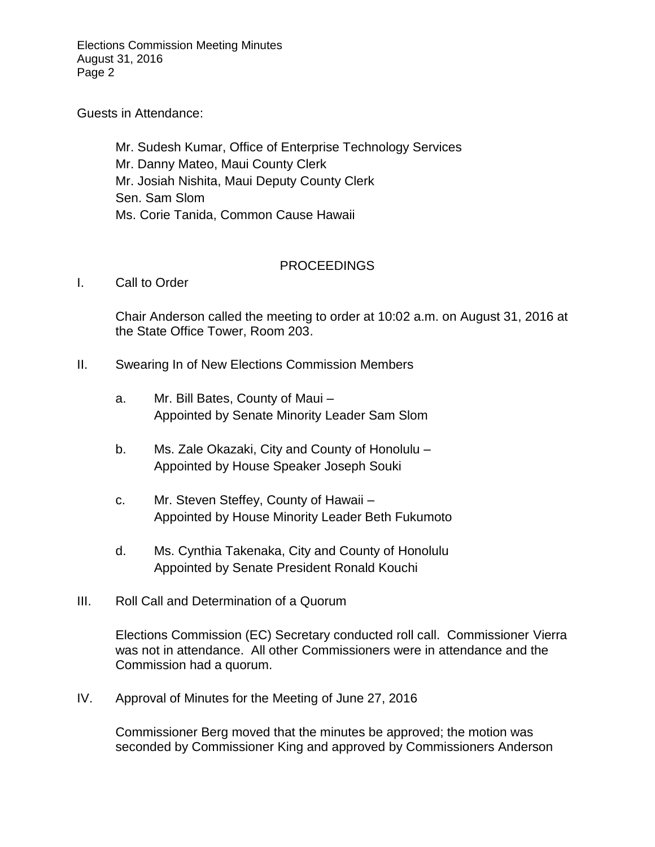Elections Commission Meeting Minutes August 31, 2016 Page 2

Guests in Attendance:

Mr. Sudesh Kumar, Office of Enterprise Technology Services Mr. Danny Mateo, Maui County Clerk Mr. Josiah Nishita, Maui Deputy County Clerk Sen. Sam Slom Ms. Corie Tanida, Common Cause Hawaii

## PROCEEDINGS

I. Call to Order

Chair Anderson called the meeting to order at 10:02 a.m. on August 31, 2016 at the State Office Tower, Room 203.

- II. Swearing In of New Elections Commission Members
	- a. Mr. Bill Bates, County of Maui Appointed by Senate Minority Leader Sam Slom
	- b. Ms. Zale Okazaki, City and County of Honolulu Appointed by House Speaker Joseph Souki
	- c. Mr. Steven Steffey, County of Hawaii Appointed by House Minority Leader Beth Fukumoto
	- d. Ms. Cynthia Takenaka, City and County of Honolulu Appointed by Senate President Ronald Kouchi
- III. Roll Call and Determination of a Quorum

Elections Commission (EC) Secretary conducted roll call. Commissioner Vierra was not in attendance. All other Commissioners were in attendance and the Commission had a quorum.

IV. Approval of Minutes for the Meeting of June 27, 2016

Commissioner Berg moved that the minutes be approved; the motion was seconded by Commissioner King and approved by Commissioners Anderson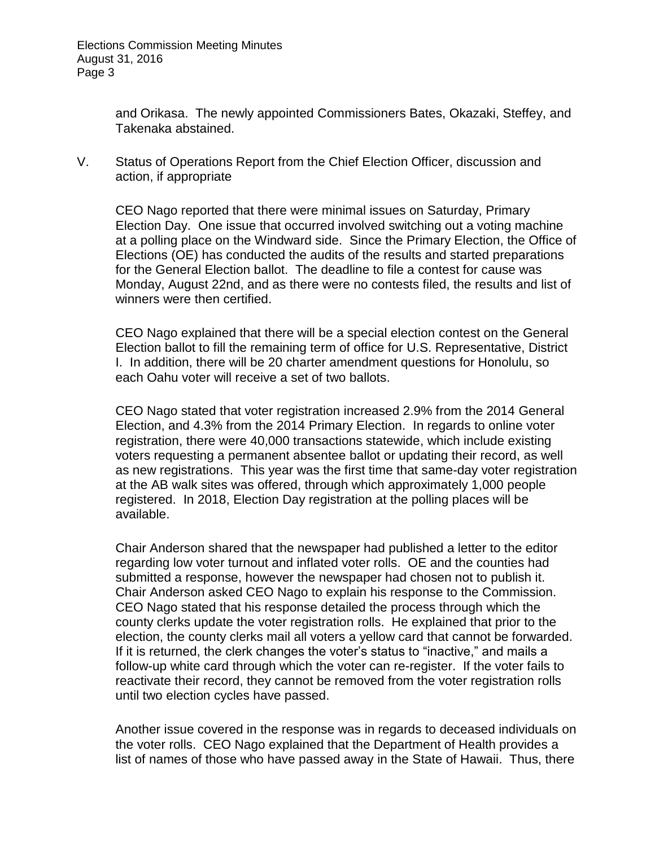and Orikasa. The newly appointed Commissioners Bates, Okazaki, Steffey, and Takenaka abstained.

V. Status of Operations Report from the Chief Election Officer, discussion and action, if appropriate

CEO Nago reported that there were minimal issues on Saturday, Primary Election Day. One issue that occurred involved switching out a voting machine at a polling place on the Windward side. Since the Primary Election, the Office of Elections (OE) has conducted the audits of the results and started preparations for the General Election ballot. The deadline to file a contest for cause was Monday, August 22nd, and as there were no contests filed, the results and list of winners were then certified.

CEO Nago explained that there will be a special election contest on the General Election ballot to fill the remaining term of office for U.S. Representative, District I. In addition, there will be 20 charter amendment questions for Honolulu, so each Oahu voter will receive a set of two ballots.

CEO Nago stated that voter registration increased 2.9% from the 2014 General Election, and 4.3% from the 2014 Primary Election. In regards to online voter registration, there were 40,000 transactions statewide, which include existing voters requesting a permanent absentee ballot or updating their record, as well as new registrations. This year was the first time that same-day voter registration at the AB walk sites was offered, through which approximately 1,000 people registered. In 2018, Election Day registration at the polling places will be available.

Chair Anderson shared that the newspaper had published a letter to the editor regarding low voter turnout and inflated voter rolls. OE and the counties had submitted a response, however the newspaper had chosen not to publish it. Chair Anderson asked CEO Nago to explain his response to the Commission. CEO Nago stated that his response detailed the process through which the county clerks update the voter registration rolls. He explained that prior to the election, the county clerks mail all voters a yellow card that cannot be forwarded. If it is returned, the clerk changes the voter's status to "inactive," and mails a follow-up white card through which the voter can re-register. If the voter fails to reactivate their record, they cannot be removed from the voter registration rolls until two election cycles have passed.

Another issue covered in the response was in regards to deceased individuals on the voter rolls. CEO Nago explained that the Department of Health provides a list of names of those who have passed away in the State of Hawaii. Thus, there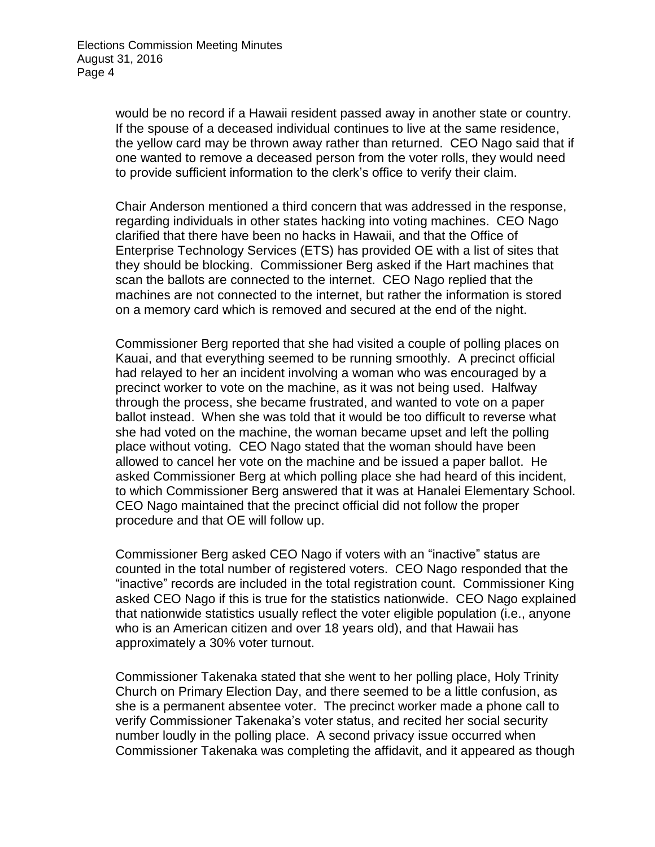would be no record if a Hawaii resident passed away in another state or country. If the spouse of a deceased individual continues to live at the same residence, the yellow card may be thrown away rather than returned. CEO Nago said that if one wanted to remove a deceased person from the voter rolls, they would need to provide sufficient information to the clerk's office to verify their claim.

Chair Anderson mentioned a third concern that was addressed in the response, regarding individuals in other states hacking into voting machines. CEO Nago clarified that there have been no hacks in Hawaii, and that the Office of Enterprise Technology Services (ETS) has provided OE with a list of sites that they should be blocking. Commissioner Berg asked if the Hart machines that scan the ballots are connected to the internet. CEO Nago replied that the machines are not connected to the internet, but rather the information is stored on a memory card which is removed and secured at the end of the night.

Commissioner Berg reported that she had visited a couple of polling places on Kauai, and that everything seemed to be running smoothly. A precinct official had relayed to her an incident involving a woman who was encouraged by a precinct worker to vote on the machine, as it was not being used. Halfway through the process, she became frustrated, and wanted to vote on a paper ballot instead. When she was told that it would be too difficult to reverse what she had voted on the machine, the woman became upset and left the polling place without voting. CEO Nago stated that the woman should have been allowed to cancel her vote on the machine and be issued a paper ballot. He asked Commissioner Berg at which polling place she had heard of this incident, to which Commissioner Berg answered that it was at Hanalei Elementary School. CEO Nago maintained that the precinct official did not follow the proper procedure and that OE will follow up.

Commissioner Berg asked CEO Nago if voters with an "inactive" status are counted in the total number of registered voters. CEO Nago responded that the "inactive" records are included in the total registration count. Commissioner King asked CEO Nago if this is true for the statistics nationwide. CEO Nago explained that nationwide statistics usually reflect the voter eligible population (i.e., anyone who is an American citizen and over 18 years old), and that Hawaii has approximately a 30% voter turnout.

Commissioner Takenaka stated that she went to her polling place, Holy Trinity Church on Primary Election Day, and there seemed to be a little confusion, as she is a permanent absentee voter. The precinct worker made a phone call to verify Commissioner Takenaka's voter status, and recited her social security number loudly in the polling place. A second privacy issue occurred when Commissioner Takenaka was completing the affidavit, and it appeared as though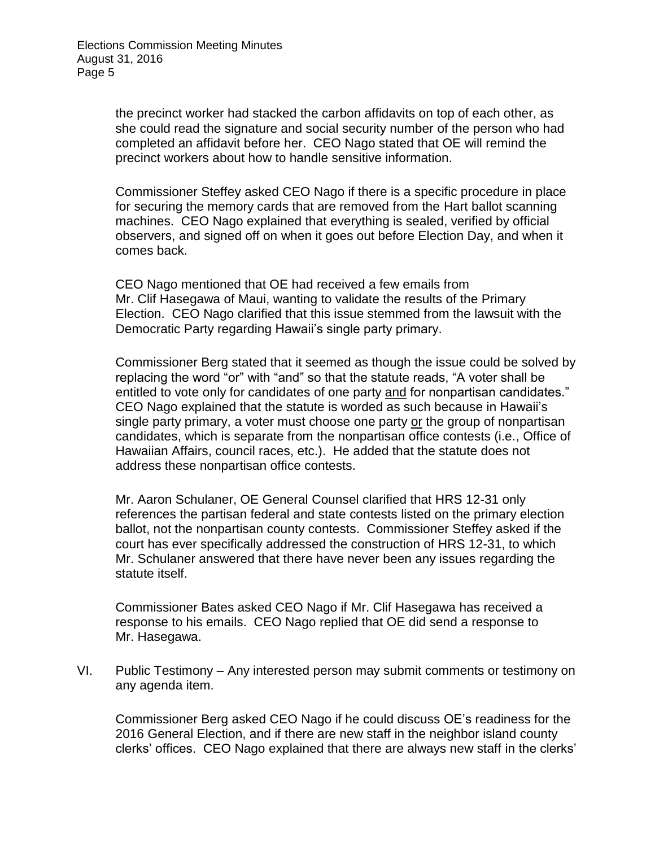the precinct worker had stacked the carbon affidavits on top of each other, as she could read the signature and social security number of the person who had completed an affidavit before her. CEO Nago stated that OE will remind the precinct workers about how to handle sensitive information.

Commissioner Steffey asked CEO Nago if there is a specific procedure in place for securing the memory cards that are removed from the Hart ballot scanning machines. CEO Nago explained that everything is sealed, verified by official observers, and signed off on when it goes out before Election Day, and when it comes back.

CEO Nago mentioned that OE had received a few emails from Mr. Clif Hasegawa of Maui, wanting to validate the results of the Primary Election. CEO Nago clarified that this issue stemmed from the lawsuit with the Democratic Party regarding Hawaii's single party primary.

Commissioner Berg stated that it seemed as though the issue could be solved by replacing the word "or" with "and" so that the statute reads, "A voter shall be entitled to vote only for candidates of one party and for nonpartisan candidates." CEO Nago explained that the statute is worded as such because in Hawaii's single party primary, a voter must choose one party or the group of nonpartisan candidates, which is separate from the nonpartisan office contests (i.e., Office of Hawaiian Affairs, council races, etc.). He added that the statute does not address these nonpartisan office contests.

Mr. Aaron Schulaner, OE General Counsel clarified that HRS 12-31 only references the partisan federal and state contests listed on the primary election ballot, not the nonpartisan county contests. Commissioner Steffey asked if the court has ever specifically addressed the construction of HRS 12-31, to which Mr. Schulaner answered that there have never been any issues regarding the statute itself.

Commissioner Bates asked CEO Nago if Mr. Clif Hasegawa has received a response to his emails. CEO Nago replied that OE did send a response to Mr. Hasegawa.

VI. Public Testimony – Any interested person may submit comments or testimony on any agenda item.

Commissioner Berg asked CEO Nago if he could discuss OE's readiness for the 2016 General Election, and if there are new staff in the neighbor island county clerks' offices. CEO Nago explained that there are always new staff in the clerks'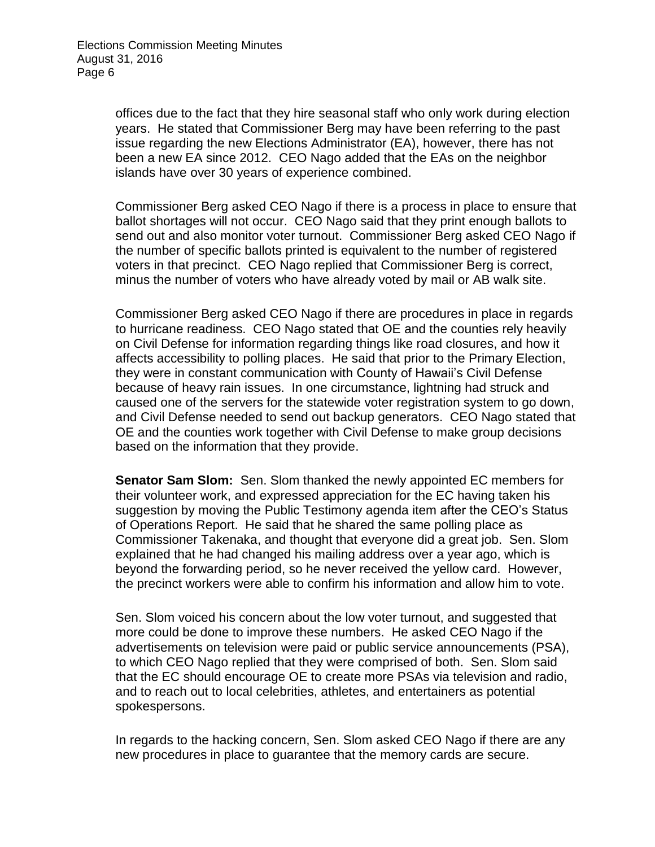offices due to the fact that they hire seasonal staff who only work during election years. He stated that Commissioner Berg may have been referring to the past issue regarding the new Elections Administrator (EA), however, there has not been a new EA since 2012. CEO Nago added that the EAs on the neighbor islands have over 30 years of experience combined.

Commissioner Berg asked CEO Nago if there is a process in place to ensure that ballot shortages will not occur. CEO Nago said that they print enough ballots to send out and also monitor voter turnout. Commissioner Berg asked CEO Nago if the number of specific ballots printed is equivalent to the number of registered voters in that precinct. CEO Nago replied that Commissioner Berg is correct, minus the number of voters who have already voted by mail or AB walk site.

Commissioner Berg asked CEO Nago if there are procedures in place in regards to hurricane readiness. CEO Nago stated that OE and the counties rely heavily on Civil Defense for information regarding things like road closures, and how it affects accessibility to polling places. He said that prior to the Primary Election, they were in constant communication with County of Hawaii's Civil Defense because of heavy rain issues. In one circumstance, lightning had struck and caused one of the servers for the statewide voter registration system to go down, and Civil Defense needed to send out backup generators. CEO Nago stated that OE and the counties work together with Civil Defense to make group decisions based on the information that they provide.

**Senator Sam Slom:** Sen. Slom thanked the newly appointed EC members for their volunteer work, and expressed appreciation for the EC having taken his suggestion by moving the Public Testimony agenda item after the CEO's Status of Operations Report. He said that he shared the same polling place as Commissioner Takenaka, and thought that everyone did a great job. Sen. Slom explained that he had changed his mailing address over a year ago, which is beyond the forwarding period, so he never received the yellow card. However, the precinct workers were able to confirm his information and allow him to vote.

Sen. Slom voiced his concern about the low voter turnout, and suggested that more could be done to improve these numbers. He asked CEO Nago if the advertisements on television were paid or public service announcements (PSA), to which CEO Nago replied that they were comprised of both. Sen. Slom said that the EC should encourage OE to create more PSAs via television and radio, and to reach out to local celebrities, athletes, and entertainers as potential spokespersons.

In regards to the hacking concern, Sen. Slom asked CEO Nago if there are any new procedures in place to guarantee that the memory cards are secure.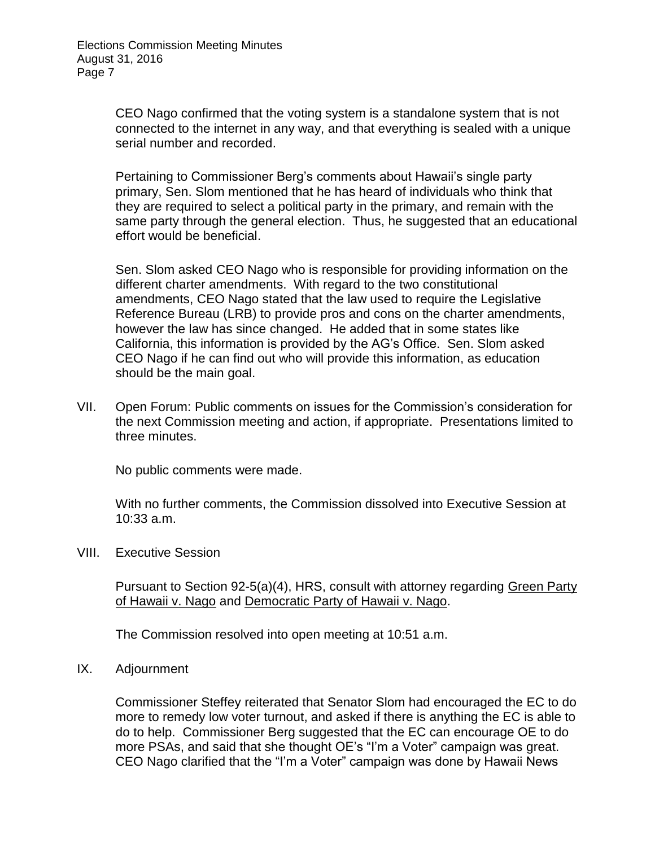CEO Nago confirmed that the voting system is a standalone system that is not connected to the internet in any way, and that everything is sealed with a unique serial number and recorded.

Pertaining to Commissioner Berg's comments about Hawaii's single party primary, Sen. Slom mentioned that he has heard of individuals who think that they are required to select a political party in the primary, and remain with the same party through the general election. Thus, he suggested that an educational effort would be beneficial.

Sen. Slom asked CEO Nago who is responsible for providing information on the different charter amendments. With regard to the two constitutional amendments, CEO Nago stated that the law used to require the Legislative Reference Bureau (LRB) to provide pros and cons on the charter amendments, however the law has since changed. He added that in some states like California, this information is provided by the AG's Office. Sen. Slom asked CEO Nago if he can find out who will provide this information, as education should be the main goal.

VII. Open Forum: Public comments on issues for the Commission's consideration for the next Commission meeting and action, if appropriate. Presentations limited to three minutes.

No public comments were made.

With no further comments, the Commission dissolved into Executive Session at 10:33 a.m.

VIII. Executive Session

Pursuant to Section 92-5(a)(4), HRS, consult with attorney regarding Green Party of Hawaii v. Nago and Democratic Party of Hawaii v. Nago.

The Commission resolved into open meeting at 10:51 a.m.

## IX. Adjournment

Commissioner Steffey reiterated that Senator Slom had encouraged the EC to do more to remedy low voter turnout, and asked if there is anything the EC is able to do to help. Commissioner Berg suggested that the EC can encourage OE to do more PSAs, and said that she thought OE's "I'm a Voter" campaign was great. CEO Nago clarified that the "I'm a Voter" campaign was done by Hawaii News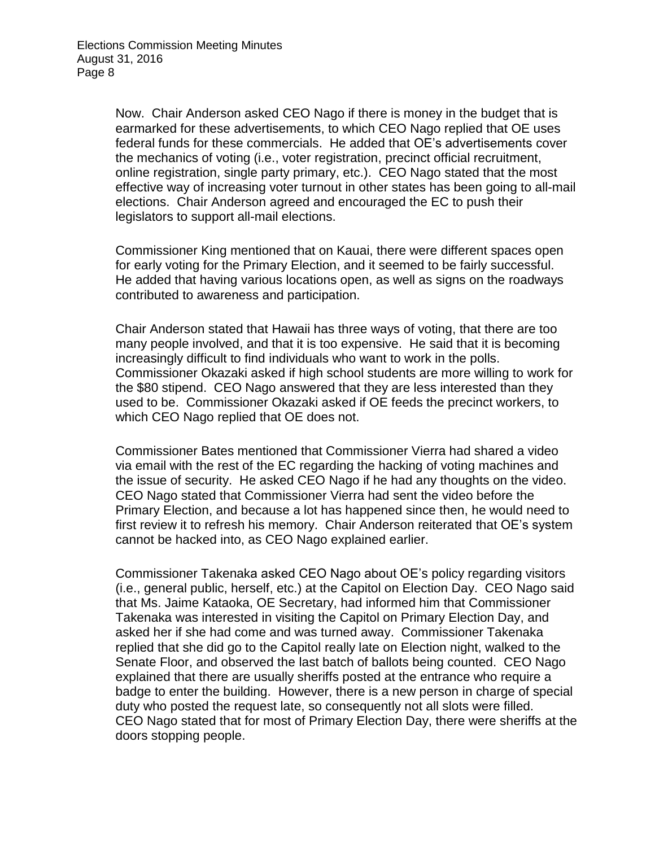Now. Chair Anderson asked CEO Nago if there is money in the budget that is earmarked for these advertisements, to which CEO Nago replied that OE uses federal funds for these commercials. He added that OE's advertisements cover the mechanics of voting (i.e., voter registration, precinct official recruitment, online registration, single party primary, etc.). CEO Nago stated that the most effective way of increasing voter turnout in other states has been going to all-mail elections. Chair Anderson agreed and encouraged the EC to push their legislators to support all-mail elections.

Commissioner King mentioned that on Kauai, there were different spaces open for early voting for the Primary Election, and it seemed to be fairly successful. He added that having various locations open, as well as signs on the roadways contributed to awareness and participation.

Chair Anderson stated that Hawaii has three ways of voting, that there are too many people involved, and that it is too expensive. He said that it is becoming increasingly difficult to find individuals who want to work in the polls. Commissioner Okazaki asked if high school students are more willing to work for the \$80 stipend. CEO Nago answered that they are less interested than they used to be. Commissioner Okazaki asked if OE feeds the precinct workers, to which CEO Nago replied that OE does not.

Commissioner Bates mentioned that Commissioner Vierra had shared a video via email with the rest of the EC regarding the hacking of voting machines and the issue of security. He asked CEO Nago if he had any thoughts on the video. CEO Nago stated that Commissioner Vierra had sent the video before the Primary Election, and because a lot has happened since then, he would need to first review it to refresh his memory. Chair Anderson reiterated that OE's system cannot be hacked into, as CEO Nago explained earlier.

Commissioner Takenaka asked CEO Nago about OE's policy regarding visitors (i.e., general public, herself, etc.) at the Capitol on Election Day. CEO Nago said that Ms. Jaime Kataoka, OE Secretary, had informed him that Commissioner Takenaka was interested in visiting the Capitol on Primary Election Day, and asked her if she had come and was turned away. Commissioner Takenaka replied that she did go to the Capitol really late on Election night, walked to the Senate Floor, and observed the last batch of ballots being counted. CEO Nago explained that there are usually sheriffs posted at the entrance who require a badge to enter the building. However, there is a new person in charge of special duty who posted the request late, so consequently not all slots were filled. CEO Nago stated that for most of Primary Election Day, there were sheriffs at the doors stopping people.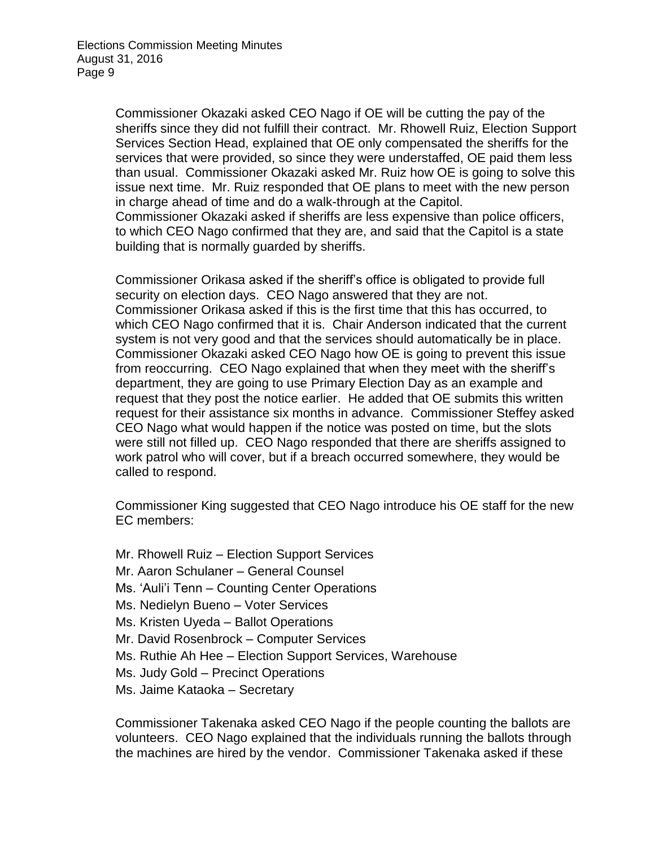Commissioner Okazaki asked CEO Nago if OE will be cutting the pay of the sheriffs since they did not fulfill their contract. Mr. Rhowell Ruiz, Election Support Services Section Head, explained that OE only compensated the sheriffs for the services that were provided, so since they were understaffed, OE paid them less than usual. Commissioner Okazaki asked Mr. Ruiz how OE is going to solve this issue next time. Mr. Ruiz responded that OE plans to meet with the new person in charge ahead of time and do a walk-through at the Capitol. Commissioner Okazaki asked if sheriffs are less expensive than police officers, to which CEO Nago confirmed that they are, and said that the Capitol is a state building that is normally guarded by sheriffs.

Commissioner Orikasa asked if the sheriff's office is obligated to provide full security on election days. CEO Nago answered that they are not. Commissioner Orikasa asked if this is the first time that this has occurred, to which CEO Nago confirmed that it is. Chair Anderson indicated that the current system is not very good and that the services should automatically be in place. Commissioner Okazaki asked CEO Nago how OE is going to prevent this issue from reoccurring. CEO Nago explained that when they meet with the sheriff's department, they are going to use Primary Election Day as an example and request that they post the notice earlier. He added that OE submits this written request for their assistance six months in advance. Commissioner Steffey asked CEO Nago what would happen if the notice was posted on time, but the slots were still not filled up. CEO Nago responded that there are sheriffs assigned to work patrol who will cover, but if a breach occurred somewhere, they would be called to respond.

Commissioner King suggested that CEO Nago introduce his OE staff for the new EC members:

- Mr. Rhowell Ruiz Election Support Services
- Mr. Aaron Schulaner General Counsel
- Ms. 'Auli'i Tenn Counting Center Operations
- Ms. Nedielyn Bueno Voter Services
- Ms. Kristen Uyeda Ballot Operations
- Mr. David Rosenbrock Computer Services
- Ms. Ruthie Ah Hee Election Support Services, Warehouse
- Ms. Judy Gold Precinct Operations
- Ms. Jaime Kataoka Secretary

Commissioner Takenaka asked CEO Nago if the people counting the ballots are volunteers. CEO Nago explained that the individuals running the ballots through the machines are hired by the vendor. Commissioner Takenaka asked if these